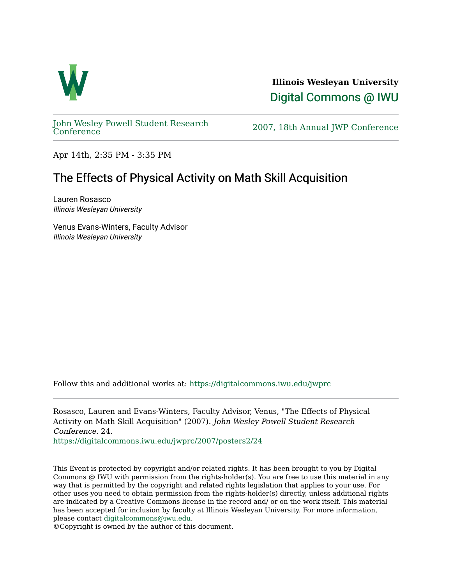

**Illinois Wesleyan University**  [Digital Commons @ IWU](https://digitalcommons.iwu.edu/) 

[John Wesley Powell Student Research](https://digitalcommons.iwu.edu/jwprc) 

2007, 18th Annual JWP [Conference](https://digitalcommons.iwu.edu/jwprc)

Apr 14th, 2:35 PM - 3:35 PM

## The Effects of Physical Activity on Math Skill Acquisition

Lauren Rosasco Illinois Wesleyan University

Venus Evans-Winters, Faculty Advisor Illinois Wesleyan University

Follow this and additional works at: [https://digitalcommons.iwu.edu/jwprc](https://digitalcommons.iwu.edu/jwprc?utm_source=digitalcommons.iwu.edu%2Fjwprc%2F2007%2Fposters2%2F24&utm_medium=PDF&utm_campaign=PDFCoverPages) 

Rosasco, Lauren and Evans-Winters, Faculty Advisor, Venus, "The Effects of Physical Activity on Math Skill Acquisition" (2007). John Wesley Powell Student Research Conference. 24.

[https://digitalcommons.iwu.edu/jwprc/2007/posters2/24](https://digitalcommons.iwu.edu/jwprc/2007/posters2/24?utm_source=digitalcommons.iwu.edu%2Fjwprc%2F2007%2Fposters2%2F24&utm_medium=PDF&utm_campaign=PDFCoverPages) 

This Event is protected by copyright and/or related rights. It has been brought to you by Digital Commons @ IWU with permission from the rights-holder(s). You are free to use this material in any way that is permitted by the copyright and related rights legislation that applies to your use. For other uses you need to obtain permission from the rights-holder(s) directly, unless additional rights are indicated by a Creative Commons license in the record and/ or on the work itself. This material has been accepted for inclusion by faculty at Illinois Wesleyan University. For more information, please contact [digitalcommons@iwu.edu.](mailto:digitalcommons@iwu.edu)

©Copyright is owned by the author of this document.